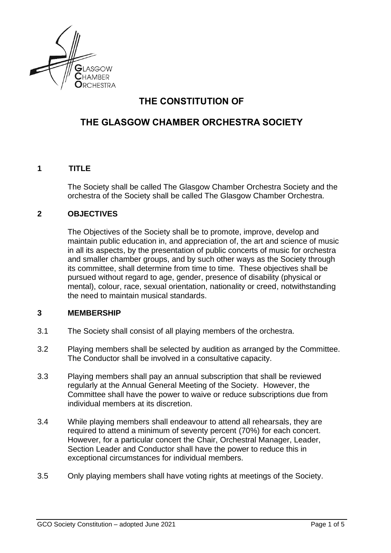

# **THE CONSTITUTION OF**

## **THE GLASGOW CHAMBER ORCHESTRA SOCIETY**

## **1 TITLE**

The Society shall be called The Glasgow Chamber Orchestra Society and the orchestra of the Society shall be called The Glasgow Chamber Orchestra.

## **2 OBJECTIVES**

The Objectives of the Society shall be to promote, improve, develop and maintain public education in, and appreciation of, the art and science of music in all its aspects, by the presentation of public concerts of music for orchestra and smaller chamber groups, and by such other ways as the Society through its committee, shall determine from time to time. These objectives shall be pursued without regard to age, gender, presence of disability (physical or mental), colour, race, sexual orientation, nationality or creed, notwithstanding the need to maintain musical standards.

## **3 MEMBERSHIP**

- 3.1 The Society shall consist of all playing members of the orchestra.
- 3.2 Playing members shall be selected by audition as arranged by the Committee. The Conductor shall be involved in a consultative capacity.
- 3.3 Playing members shall pay an annual subscription that shall be reviewed regularly at the Annual General Meeting of the Society. However, the Committee shall have the power to waive or reduce subscriptions due from individual members at its discretion.
- 3.4 While playing members shall endeavour to attend all rehearsals, they are required to attend a minimum of seventy percent (70%) for each concert. However, for a particular concert the Chair, Orchestral Manager, Leader, Section Leader and Conductor shall have the power to reduce this in exceptional circumstances for individual members.
- 3.5 Only playing members shall have voting rights at meetings of the Society.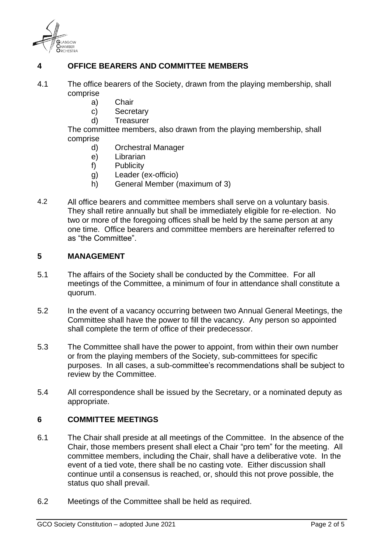

## **4 OFFICE BEARERS AND COMMITTEE MEMBERS**

- 4.1 The office bearers of the Society, drawn from the playing membership, shall comprise
	- a) Chair
	- c) Secretary
	- d) Treasurer

The committee members, also drawn from the playing membership, shall comprise

- d) Orchestral Manager
- e) Librarian
- f) Publicity
- g) Leader (ex-officio)
- h) General Member (maximum of 3)
- 4.2 All office bearers and committee members shall serve on a voluntary basis. They shall retire annually but shall be immediately eligible for re-election. No two or more of the foregoing offices shall be held by the same person at any one time. Office bearers and committee members are hereinafter referred to as "the Committee".

#### **5 MANAGEMENT**

- 5.1 The affairs of the Society shall be conducted by the Committee. For all meetings of the Committee, a minimum of four in attendance shall constitute a quorum.
- 5.2 In the event of a vacancy occurring between two Annual General Meetings, the Committee shall have the power to fill the vacancy. Any person so appointed shall complete the term of office of their predecessor.
- 5.3 The Committee shall have the power to appoint, from within their own number or from the playing members of the Society, sub-committees for specific purposes. In all cases, a sub-committee's recommendations shall be subject to review by the Committee.
- 5.4 All correspondence shall be issued by the Secretary, or a nominated deputy as appropriate.

#### **6 COMMITTEE MEETINGS**

- 6.1 The Chair shall preside at all meetings of the Committee. In the absence of the Chair, those members present shall elect a Chair "pro tem" for the meeting. All committee members, including the Chair, shall have a deliberative vote. In the event of a tied vote, there shall be no casting vote. Either discussion shall continue until a consensus is reached, or, should this not prove possible, the status quo shall prevail.
- 6.2 Meetings of the Committee shall be held as required.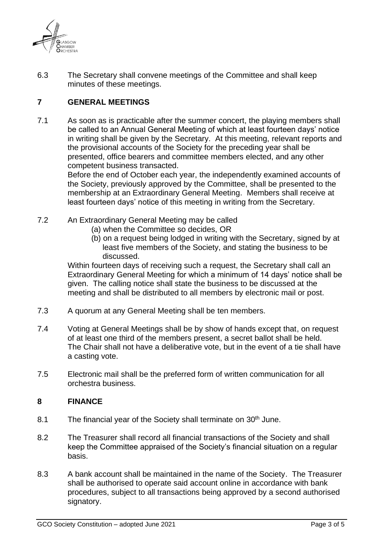

6.3 The Secretary shall convene meetings of the Committee and shall keep minutes of these meetings.

## **7 GENERAL MEETINGS**

7.1 As soon as is practicable after the summer concert, the playing members shall be called to an Annual General Meeting of which at least fourteen days' notice in writing shall be given by the Secretary. At this meeting, relevant reports and the provisional accounts of the Society for the preceding year shall be presented, office bearers and committee members elected, and any other competent business transacted.

Before the end of October each year, the independently examined accounts of the Society, previously approved by the Committee, shall be presented to the membership at an Extraordinary General Meeting. Members shall receive at least fourteen days' notice of this meeting in writing from the Secretary.

- 7.2 An Extraordinary General Meeting may be called
	- (a) when the Committee so decides, OR
	- (b) on a request being lodged in writing with the Secretary, signed by at least five members of the Society, and stating the business to be discussed.

Within fourteen days of receiving such a request, the Secretary shall call an Extraordinary General Meeting for which a minimum of 14 days' notice shall be given. The calling notice shall state the business to be discussed at the meeting and shall be distributed to all members by electronic mail or post.

- 7.3 A quorum at any General Meeting shall be ten members.
- 7.4 Voting at General Meetings shall be by show of hands except that, on request of at least one third of the members present, a secret ballot shall be held. The Chair shall not have a deliberative vote, but in the event of a tie shall have a casting vote.
- 7.5 Electronic mail shall be the preferred form of written communication for all orchestra business.

#### **8 FINANCE**

- 8.1 The financial year of the Society shall terminate on 30<sup>th</sup> June.
- 8.2 The Treasurer shall record all financial transactions of the Society and shall keep the Committee appraised of the Society's financial situation on a regular basis.
- 8.3 A bank account shall be maintained in the name of the Society. The Treasurer shall be authorised to operate said account online in accordance with bank procedures, subject to all transactions being approved by a second authorised signatory.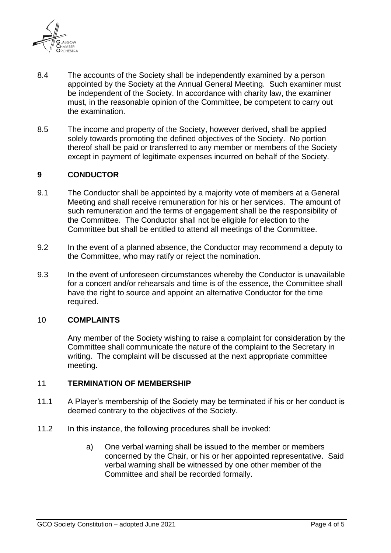

- 8.4 The accounts of the Society shall be independently examined by a person appointed by the Society at the Annual General Meeting. Such examiner must be independent of the Society. In accordance with charity law, the examiner must, in the reasonable opinion of the Committee, be competent to carry out the examination.
- 8.5 The income and property of the Society, however derived, shall be applied solely towards promoting the defined objectives of the Society. No portion thereof shall be paid or transferred to any member or members of the Society except in payment of legitimate expenses incurred on behalf of the Society.

#### **9 CONDUCTOR**

- 9.1 The Conductor shall be appointed by a majority vote of members at a General Meeting and shall receive remuneration for his or her services. The amount of such remuneration and the terms of engagement shall be the responsibility of the Committee. The Conductor shall not be eligible for election to the Committee but shall be entitled to attend all meetings of the Committee.
- 9.2 In the event of a planned absence, the Conductor may recommend a deputy to the Committee, who may ratify or reject the nomination.
- 9.3 In the event of unforeseen circumstances whereby the Conductor is unavailable for a concert and/or rehearsals and time is of the essence, the Committee shall have the right to source and appoint an alternative Conductor for the time required.

#### 10 **COMPLAINTS**

Any member of the Society wishing to raise a complaint for consideration by the Committee shall communicate the nature of the complaint to the Secretary in writing. The complaint will be discussed at the next appropriate committee meeting.

#### 11 **TERMINATION OF MEMBERSHIP**

- 11.1 A Player's membership of the Society may be terminated if his or her conduct is deemed contrary to the objectives of the Society.
- 11.2 In this instance, the following procedures shall be invoked:
	- a) One verbal warning shall be issued to the member or members concerned by the Chair, or his or her appointed representative. Said verbal warning shall be witnessed by one other member of the Committee and shall be recorded formally.